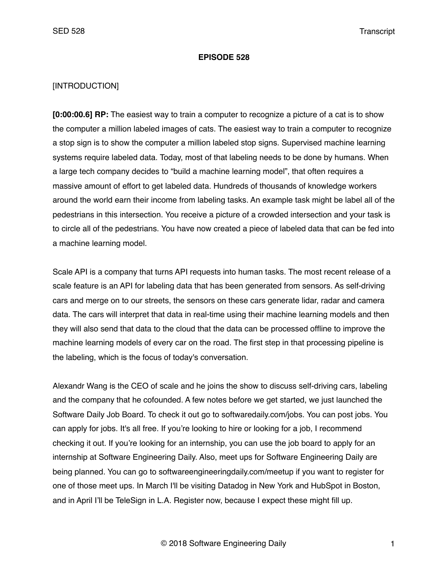#### **EPISODE 528**

#### [INTRODUCTION]

**[0:00:00.6] RP:** The easiest way to train a computer to recognize a picture of a cat is to show the computer a million labeled images of cats. The easiest way to train a computer to recognize a stop sign is to show the computer a million labeled stop signs. Supervised machine learning systems require labeled data. Today, most of that labeling needs to be done by humans. When a large tech company decides to "build a machine learning model", that often requires a massive amount of effort to get labeled data. Hundreds of thousands of knowledge workers around the world earn their income from labeling tasks. An example task might be label all of the pedestrians in this intersection. You receive a picture of a crowded intersection and your task is to circle all of the pedestrians. You have now created a piece of labeled data that can be fed into a machine learning model.

Scale API is a company that turns API requests into human tasks. The most recent release of a scale feature is an API for labeling data that has been generated from sensors. As self-driving cars and merge on to our streets, the sensors on these cars generate lidar, radar and camera data. The cars will interpret that data in real-time using their machine learning models and then they will also send that data to the cloud that the data can be processed offline to improve the machine learning models of every car on the road. The first step in that processing pipeline is the labeling, which is the focus of today's conversation.

Alexandr Wang is the CEO of scale and he joins the show to discuss self-driving cars, labeling and the company that he cofounded. A few notes before we get started, we just launched the Software Daily Job Board. To check it out go to softwaredaily.com/jobs. You can post jobs. You can apply for jobs. It's all free. If you're looking to hire or looking for a job, I recommend checking it out. If you're looking for an internship, you can use the job board to apply for an internship at Software Engineering Daily. Also, meet ups for Software Engineering Daily are being planned. You can go to softwareengineeringdaily.com/meetup if you want to register for one of those meet ups. In March I'll be visiting Datadog in New York and HubSpot in Boston, and in April I'll be TeleSign in L.A. Register now, because I expect these might fill up.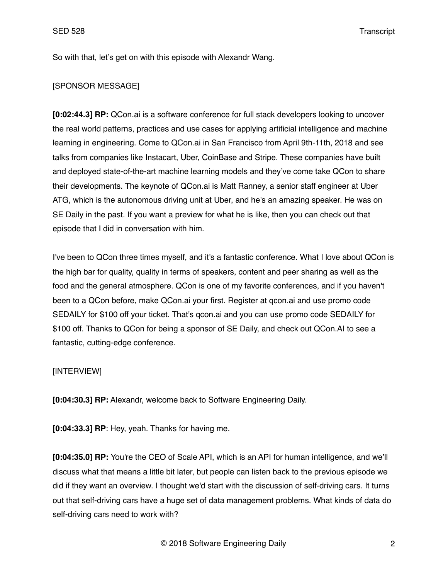So with that, let's get on with this episode with Alexandr Wang.

### [SPONSOR MESSAGE]

**[0:02:44.3] RP:** QCon.ai is a software conference for full stack developers looking to uncover the real world patterns, practices and use cases for applying artificial intelligence and machine learning in engineering. Come to QCon.ai in San Francisco from April 9th-11th, 2018 and see talks from companies like Instacart, Uber, CoinBase and Stripe. These companies have built and deployed state-of-the-art machine learning models and they've come take QCon to share their developments. The keynote of QCon.ai is Matt Ranney, a senior staff engineer at Uber ATG, which is the autonomous driving unit at Uber, and he's an amazing speaker. He was on SE Daily in the past. If you want a preview for what he is like, then you can check out that episode that I did in conversation with him.

I've been to QCon three times myself, and it's a fantastic conference. What I love about QCon is the high bar for quality, quality in terms of speakers, content and peer sharing as well as the food and the general atmosphere. QCon is one of my favorite conferences, and if you haven't been to a QCon before, make QCon.ai your first. Register at qcon.ai and use promo code SEDAILY for \$100 off your ticket. That's qcon.ai and you can use promo code SEDAILY for \$100 off. Thanks to QCon for being a sponsor of SE Daily, and check out QCon.AI to see a fantastic, cutting-edge conference.

## [INTERVIEW]

**[0:04:30.3] RP:** Alexandr, welcome back to Software Engineering Daily.

**[0:04:33.3] RP**: Hey, yeah. Thanks for having me.

**[0:04:35.0] RP:** You're the CEO of Scale API, which is an API for human intelligence, and we'll discuss what that means a little bit later, but people can listen back to the previous episode we did if they want an overview. I thought we'd start with the discussion of self-driving cars. It turns out that self-driving cars have a huge set of data management problems. What kinds of data do self-driving cars need to work with?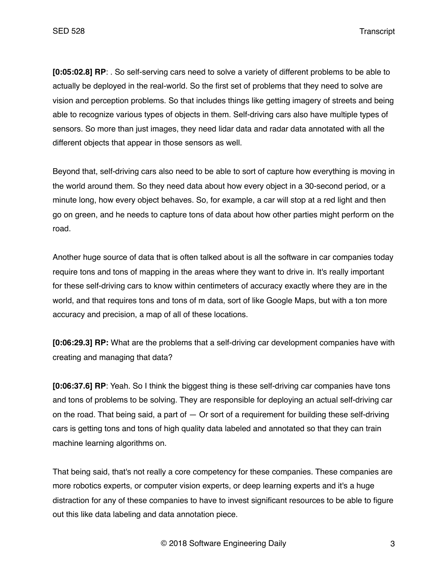**[0:05:02.8] RP**: . So self-serving cars need to solve a variety of different problems to be able to actually be deployed in the real-world. So the first set of problems that they need to solve are vision and perception problems. So that includes things like getting imagery of streets and being able to recognize various types of objects in them. Self-driving cars also have multiple types of sensors. So more than just images, they need lidar data and radar data annotated with all the different objects that appear in those sensors as well.

Beyond that, self-driving cars also need to be able to sort of capture how everything is moving in the world around them. So they need data about how every object in a 30-second period, or a minute long, how every object behaves. So, for example, a car will stop at a red light and then go on green, and he needs to capture tons of data about how other parties might perform on the road.

Another huge source of data that is often talked about is all the software in car companies today require tons and tons of mapping in the areas where they want to drive in. It's really important for these self-driving cars to know within centimeters of accuracy exactly where they are in the world, and that requires tons and tons of m data, sort of like Google Maps, but with a ton more accuracy and precision, a map of all of these locations.

**[0:06:29.3] RP:** What are the problems that a self-driving car development companies have with creating and managing that data?

**[0:06:37.6] RP**: Yeah. So I think the biggest thing is these self-driving car companies have tons and tons of problems to be solving. They are responsible for deploying an actual self-driving car on the road. That being said, a part of  $-$  Or sort of a requirement for building these self-driving cars is getting tons and tons of high quality data labeled and annotated so that they can train machine learning algorithms on.

That being said, that's not really a core competency for these companies. These companies are more robotics experts, or computer vision experts, or deep learning experts and it's a huge distraction for any of these companies to have to invest significant resources to be able to figure out this like data labeling and data annotation piece.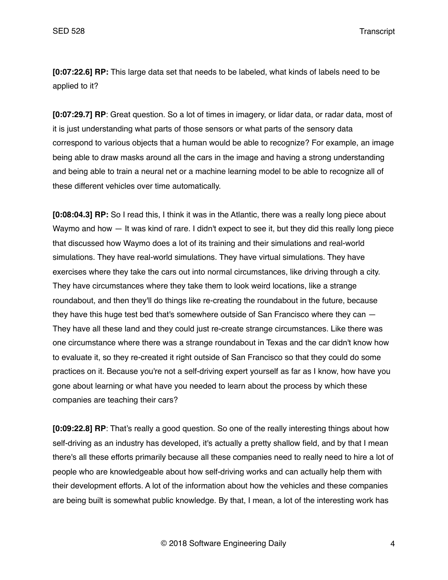**[0:07:22.6] RP:** This large data set that needs to be labeled, what kinds of labels need to be applied to it?

**[0:07:29.7] RP**: Great question. So a lot of times in imagery, or lidar data, or radar data, most of it is just understanding what parts of those sensors or what parts of the sensory data correspond to various objects that a human would be able to recognize? For example, an image being able to draw masks around all the cars in the image and having a strong understanding and being able to train a neural net or a machine learning model to be able to recognize all of these different vehicles over time automatically.

**[0:08:04.3] RP:** So I read this, I think it was in the Atlantic, there was a really long piece about Waymo and how — It was kind of rare. I didn't expect to see it, but they did this really long piece that discussed how Waymo does a lot of its training and their simulations and real-world simulations. They have real-world simulations. They have virtual simulations. They have exercises where they take the cars out into normal circumstances, like driving through a city. They have circumstances where they take them to look weird locations, like a strange roundabout, and then they'll do things like re-creating the roundabout in the future, because they have this huge test bed that's somewhere outside of San Francisco where they can — They have all these land and they could just re-create strange circumstances. Like there was one circumstance where there was a strange roundabout in Texas and the car didn't know how to evaluate it, so they re-created it right outside of San Francisco so that they could do some practices on it. Because you're not a self-driving expert yourself as far as I know, how have you gone about learning or what have you needed to learn about the process by which these companies are teaching their cars?

**[0:09:22.8] RP**: That's really a good question. So one of the really interesting things about how self-driving as an industry has developed, it's actually a pretty shallow field, and by that I mean there's all these efforts primarily because all these companies need to really need to hire a lot of people who are knowledgeable about how self-driving works and can actually help them with their development efforts. A lot of the information about how the vehicles and these companies are being built is somewhat public knowledge. By that, I mean, a lot of the interesting work has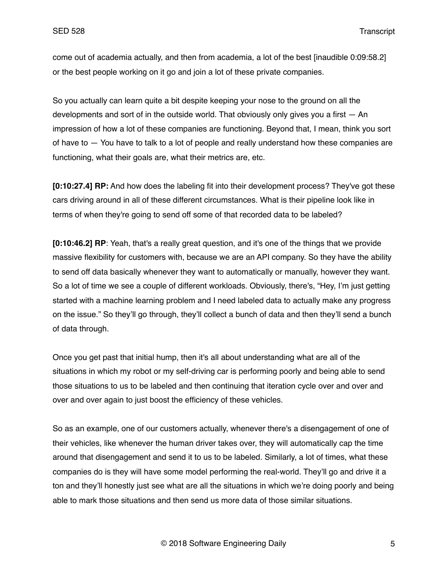come out of academia actually, and then from academia, a lot of the best [inaudible 0:09:58.2] or the best people working on it go and join a lot of these private companies.

So you actually can learn quite a bit despite keeping your nose to the ground on all the developments and sort of in the outside world. That obviously only gives you a first  $-$  An impression of how a lot of these companies are functioning. Beyond that, I mean, think you sort of have to — You have to talk to a lot of people and really understand how these companies are functioning, what their goals are, what their metrics are, etc.

**[0:10:27.4] RP:** And how does the labeling fit into their development process? They've got these cars driving around in all of these different circumstances. What is their pipeline look like in terms of when they're going to send off some of that recorded data to be labeled?

**[0:10:46.2] RP**: Yeah, that's a really great question, and it's one of the things that we provide massive flexibility for customers with, because we are an API company. So they have the ability to send off data basically whenever they want to automatically or manually, however they want. So a lot of time we see a couple of different workloads. Obviously, there's, "Hey, I'm just getting started with a machine learning problem and I need labeled data to actually make any progress on the issue." So they'll go through, they'll collect a bunch of data and then they'll send a bunch of data through.

Once you get past that initial hump, then it's all about understanding what are all of the situations in which my robot or my self-driving car is performing poorly and being able to send those situations to us to be labeled and then continuing that iteration cycle over and over and over and over again to just boost the efficiency of these vehicles.

So as an example, one of our customers actually, whenever there's a disengagement of one of their vehicles, like whenever the human driver takes over, they will automatically cap the time around that disengagement and send it to us to be labeled. Similarly, a lot of times, what these companies do is they will have some model performing the real-world. They'll go and drive it a ton and they'll honestly just see what are all the situations in which we're doing poorly and being able to mark those situations and then send us more data of those similar situations.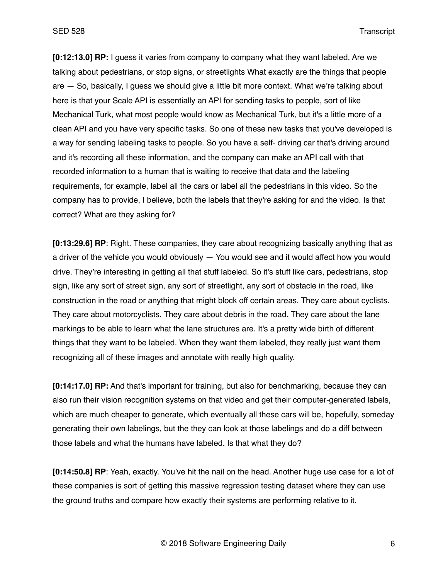**[0:12:13.0] RP:** I guess it varies from company to company what they want labeled. Are we talking about pedestrians, or stop signs, or streetlights What exactly are the things that people are — So, basically, I guess we should give a little bit more context. What we're talking about here is that your Scale API is essentially an API for sending tasks to people, sort of like Mechanical Turk, what most people would know as Mechanical Turk, but it's a little more of a clean API and you have very specific tasks. So one of these new tasks that you've developed is a way for sending labeling tasks to people. So you have a self- driving car that's driving around and it's recording all these information, and the company can make an API call with that recorded information to a human that is waiting to receive that data and the labeling requirements, for example, label all the cars or label all the pedestrians in this video. So the company has to provide, I believe, both the labels that they're asking for and the video. Is that correct? What are they asking for?

**[0:13:29.6] RP**: Right. These companies, they care about recognizing basically anything that as a driver of the vehicle you would obviously — You would see and it would affect how you would drive. They're interesting in getting all that stuff labeled. So it's stuff like cars, pedestrians, stop sign, like any sort of street sign, any sort of streetlight, any sort of obstacle in the road, like construction in the road or anything that might block off certain areas. They care about cyclists. They care about motorcyclists. They care about debris in the road. They care about the lane markings to be able to learn what the lane structures are. It's a pretty wide birth of different things that they want to be labeled. When they want them labeled, they really just want them recognizing all of these images and annotate with really high quality.

**[0:14:17.0] RP:** And that's important for training, but also for benchmarking, because they can also run their vision recognition systems on that video and get their computer-generated labels, which are much cheaper to generate, which eventually all these cars will be, hopefully, someday generating their own labelings, but the they can look at those labelings and do a diff between those labels and what the humans have labeled. Is that what they do?

**[0:14:50.8] RP**: Yeah, exactly. You've hit the nail on the head. Another huge use case for a lot of these companies is sort of getting this massive regression testing dataset where they can use the ground truths and compare how exactly their systems are performing relative to it.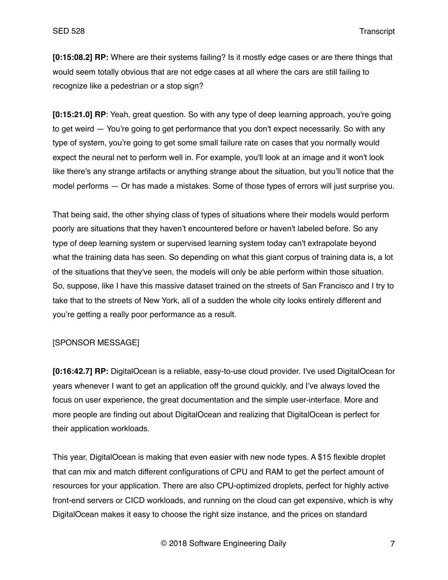**[0:15:08.2] RP:** Where are their systems failing? Is it mostly edge cases or are there things that would seem totally obvious that are not edge cases at all where the cars are still failing to recognize like a pedestrian or a stop sign?

**[0:15:21.0] RP**: Yeah, great question. So with any type of deep learning approach, you're going to get weird — You're going to get performance that you don't expect necessarily. So with any type of system, you're going to get some small failure rate on cases that you normally would expect the neural net to perform well in. For example, you'll look at an image and it won't look like there's any strange artifacts or anything strange about the situation, but you'll notice that the model performs — Or has made a mistakes. Some of those types of errors will just surprise you.

That being said, the other shying class of types of situations where their models would perform poorly are situations that they haven't encountered before or haven't labeled before. So any type of deep learning system or supervised learning system today can't extrapolate beyond what the training data has seen. So depending on what this giant corpus of training data is, a lot of the situations that they've seen, the models will only be able perform within those situation. So, suppose, like I have this massive dataset trained on the streets of San Francisco and I try to take that to the streets of New York, all of a sudden the whole city looks entirely different and you're getting a really poor performance as a result.

## [SPONSOR MESSAGE]

**[0:16:42.7] RP:** DigitalOcean is a reliable, easy-to-use cloud provider. I've used DigitalOcean for years whenever I want to get an application off the ground quickly, and I've always loved the focus on user experience, the great documentation and the simple user-interface. More and more people are finding out about DigitalOcean and realizing that DigitalOcean is perfect for their application workloads.

This year, DigitalOcean is making that even easier with new node types. A \$15 flexible droplet that can mix and match different configurations of CPU and RAM to get the perfect amount of resources for your application. There are also CPU-optimized droplets, perfect for highly active front-end servers or CICD workloads, and running on the cloud can get expensive, which is why DigitalOcean makes it easy to choose the right size instance, and the prices on standard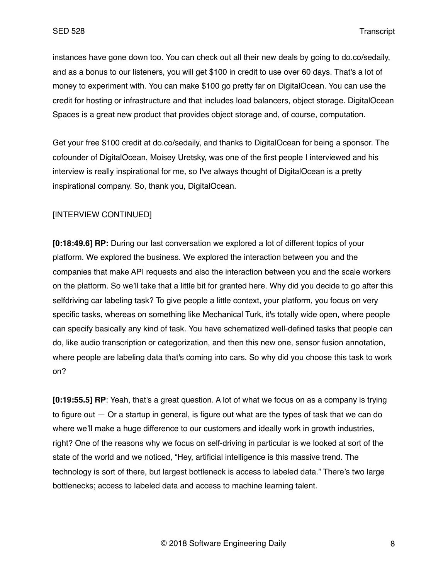instances have gone down too. You can check out all their new deals by going to do.co/sedaily, and as a bonus to our listeners, you will get \$100 in credit to use over 60 days. That's a lot of money to experiment with. You can make \$100 go pretty far on DigitalOcean. You can use the credit for hosting or infrastructure and that includes load balancers, object storage. DigitalOcean Spaces is a great new product that provides object storage and, of course, computation.

Get your free \$100 credit at do.co/sedaily, and thanks to DigitalOcean for being a sponsor. The cofounder of DigitalOcean, Moisey Uretsky, was one of the first people I interviewed and his interview is really inspirational for me, so I've always thought of DigitalOcean is a pretty inspirational company. So, thank you, DigitalOcean.

# [INTERVIEW CONTINUED]

**[0:18:49.6] RP:** During our last conversation we explored a lot of different topics of your platform. We explored the business. We explored the interaction between you and the companies that make API requests and also the interaction between you and the scale workers on the platform. So we'll take that a little bit for granted here. Why did you decide to go after this selfdriving car labeling task? To give people a little context, your platform, you focus on very specific tasks, whereas on something like Mechanical Turk, it's totally wide open, where people can specify basically any kind of task. You have schematized well-defined tasks that people can do, like audio transcription or categorization, and then this new one, sensor fusion annotation, where people are labeling data that's coming into cars. So why did you choose this task to work on?

**[0:19:55.5] RP**: Yeah, that's a great question. A lot of what we focus on as a company is trying to figure out  $-$  Or a startup in general, is figure out what are the types of task that we can do where we'll make a huge difference to our customers and ideally work in growth industries, right? One of the reasons why we focus on self-driving in particular is we looked at sort of the state of the world and we noticed, "Hey, artificial intelligence is this massive trend. The technology is sort of there, but largest bottleneck is access to labeled data." There's two large bottlenecks; access to labeled data and access to machine learning talent.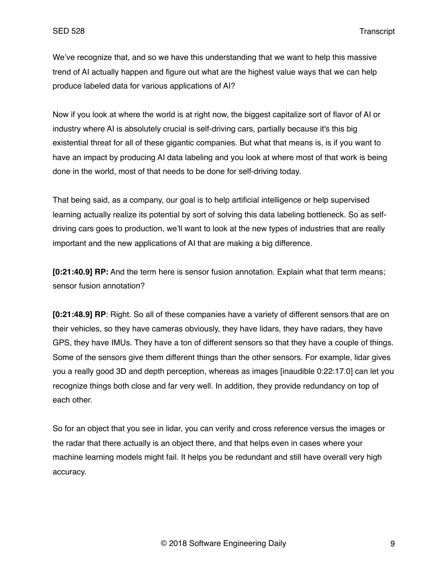We've recognize that, and so we have this understanding that we want to help this massive trend of AI actually happen and figure out what are the highest value ways that we can help produce labeled data for various applications of AI?

Now if you look at where the world is at right now, the biggest capitalize sort of flavor of AI or industry where AI is absolutely crucial is self-driving cars, partially because it's this big existential threat for all of these gigantic companies. But what that means is, is if you want to have an impact by producing AI data labeling and you look at where most of that work is being done in the world, most of that needs to be done for self-driving today.

That being said, as a company, our goal is to help artificial intelligence or help supervised learning actually realize its potential by sort of solving this data labeling bottleneck. So as selfdriving cars goes to production, we'll want to look at the new types of industries that are really important and the new applications of AI that are making a big difference.

**[0:21:40.9] RP:** And the term here is sensor fusion annotation. Explain what that term means; sensor fusion annotation?

**[0:21:48.9] RP**: Right. So all of these companies have a variety of different sensors that are on their vehicles, so they have cameras obviously, they have lidars, they have radars, they have GPS, they have IMUs. They have a ton of different sensors so that they have a couple of things. Some of the sensors give them different things than the other sensors. For example, lidar gives you a really good 3D and depth perception, whereas as images [inaudible 0:22:17.0] can let you recognize things both close and far very well. In addition, they provide redundancy on top of each other.

So for an object that you see in lidar, you can verify and cross reference versus the images or the radar that there actually is an object there, and that helps even in cases where your machine learning models might fail. It helps you be redundant and still have overall very high accuracy.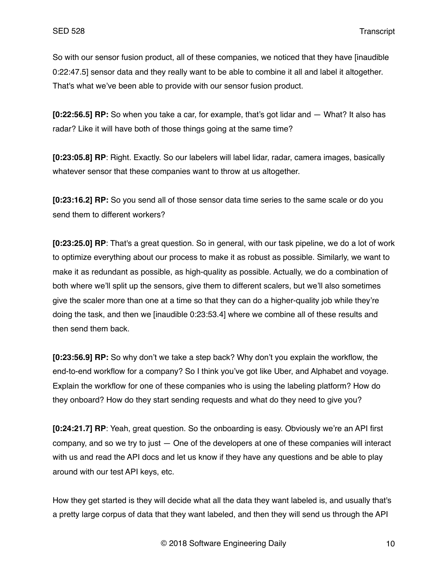So with our sensor fusion product, all of these companies, we noticed that they have [inaudible 0:22:47.5] sensor data and they really want to be able to combine it all and label it altogether. That's what we've been able to provide with our sensor fusion product.

**[0:22:56.5] RP:** So when you take a car, for example, that's got lidar and — What? It also has radar? Like it will have both of those things going at the same time?

**[0:23:05.8] RP**: Right. Exactly. So our labelers will label lidar, radar, camera images, basically whatever sensor that these companies want to throw at us altogether.

**[0:23:16.2] RP:** So you send all of those sensor data time series to the same scale or do you send them to different workers?

**[0:23:25.0] RP**: That's a great question. So in general, with our task pipeline, we do a lot of work to optimize everything about our process to make it as robust as possible. Similarly, we want to make it as redundant as possible, as high-quality as possible. Actually, we do a combination of both where we'll split up the sensors, give them to different scalers, but we'll also sometimes give the scaler more than one at a time so that they can do a higher-quality job while they're doing the task, and then we [inaudible 0:23:53.4] where we combine all of these results and then send them back.

**[0:23:56.9] RP:** So why don't we take a step back? Why don't you explain the workflow, the end-to-end workflow for a company? So I think you've got like Uber, and Alphabet and voyage. Explain the workflow for one of these companies who is using the labeling platform? How do they onboard? How do they start sending requests and what do they need to give you?

**[0:24:21.7] RP**: Yeah, great question. So the onboarding is easy. Obviously we're an API first company, and so we try to just — One of the developers at one of these companies will interact with us and read the API docs and let us know if they have any questions and be able to play around with our test API keys, etc.

How they get started is they will decide what all the data they want labeled is, and usually that's a pretty large corpus of data that they want labeled, and then they will send us through the API

© 2018 Software Engineering Daily 10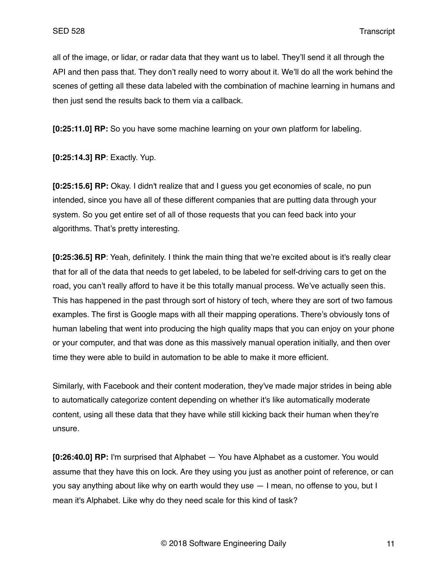all of the image, or lidar, or radar data that they want us to label. They'll send it all through the API and then pass that. They don't really need to worry about it. We'll do all the work behind the scenes of getting all these data labeled with the combination of machine learning in humans and then just send the results back to them via a callback.

**[0:25:11.0] RP:** So you have some machine learning on your own platform for labeling.

**[0:25:14.3] RP**: Exactly. Yup.

**[0:25:15.6] RP:** Okay. I didn't realize that and I guess you get economies of scale, no pun intended, since you have all of these different companies that are putting data through your system. So you get entire set of all of those requests that you can feed back into your algorithms. That's pretty interesting.

**[0:25:36.5] RP**: Yeah, definitely. I think the main thing that we're excited about is it's really clear that for all of the data that needs to get labeled, to be labeled for self-driving cars to get on the road, you can't really afford to have it be this totally manual process. We've actually seen this. This has happened in the past through sort of history of tech, where they are sort of two famous examples. The first is Google maps with all their mapping operations. There's obviously tons of human labeling that went into producing the high quality maps that you can enjoy on your phone or your computer, and that was done as this massively manual operation initially, and then over time they were able to build in automation to be able to make it more efficient.

Similarly, with Facebook and their content moderation, they've made major strides in being able to automatically categorize content depending on whether it's like automatically moderate content, using all these data that they have while still kicking back their human when they're unsure.

**[0:26:40.0] RP:** I'm surprised that Alphabet — You have Alphabet as a customer. You would assume that they have this on lock. Are they using you just as another point of reference, or can you say anything about like why on earth would they use — I mean, no offense to you, but I mean it's Alphabet. Like why do they need scale for this kind of task?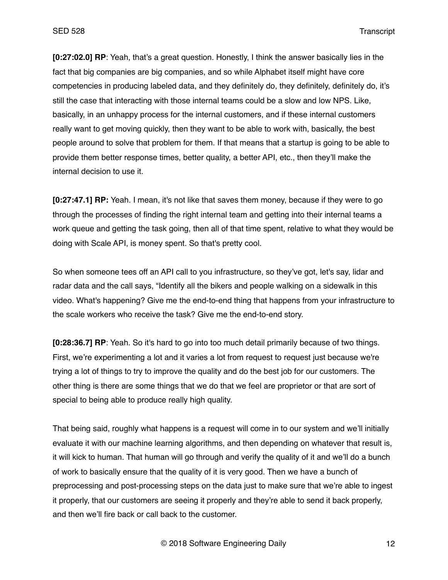**[0:27:02.0] RP**: Yeah, that's a great question. Honestly, I think the answer basically lies in the fact that big companies are big companies, and so while Alphabet itself might have core competencies in producing labeled data, and they definitely do, they definitely, definitely do, it's still the case that interacting with those internal teams could be a slow and low NPS. Like, basically, in an unhappy process for the internal customers, and if these internal customers really want to get moving quickly, then they want to be able to work with, basically, the best people around to solve that problem for them. If that means that a startup is going to be able to provide them better response times, better quality, a better API, etc., then they'll make the internal decision to use it.

**[0:27:47.1] RP:** Yeah. I mean, it's not like that saves them money, because if they were to go through the processes of finding the right internal team and getting into their internal teams a work queue and getting the task going, then all of that time spent, relative to what they would be doing with Scale API, is money spent. So that's pretty cool.

So when someone tees off an API call to you infrastructure, so they've got, let's say, lidar and radar data and the call says, "Identify all the bikers and people walking on a sidewalk in this video. What's happening? Give me the end-to-end thing that happens from your infrastructure to the scale workers who receive the task? Give me the end-to-end story.

**[0:28:36.7] RP**: Yeah. So it's hard to go into too much detail primarily because of two things. First, we're experimenting a lot and it varies a lot from request to request just because we're trying a lot of things to try to improve the quality and do the best job for our customers. The other thing is there are some things that we do that we feel are proprietor or that are sort of special to being able to produce really high quality.

That being said, roughly what happens is a request will come in to our system and we'll initially evaluate it with our machine learning algorithms, and then depending on whatever that result is, it will kick to human. That human will go through and verify the quality of it and we'll do a bunch of work to basically ensure that the quality of it is very good. Then we have a bunch of preprocessing and post-processing steps on the data just to make sure that we're able to ingest it properly, that our customers are seeing it properly and they're able to send it back properly, and then we'll fire back or call back to the customer.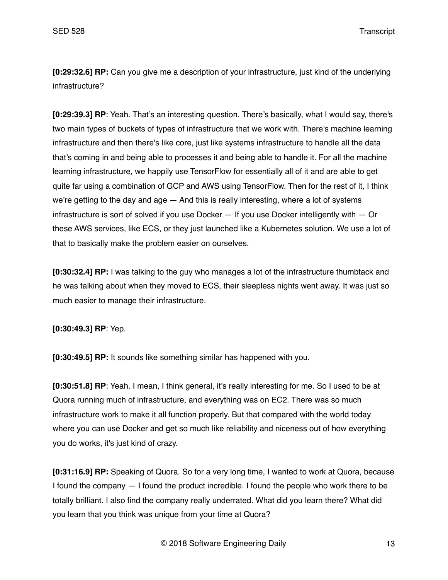**[0:29:32.6] RP:** Can you give me a description of your infrastructure, just kind of the underlying infrastructure?

**[0:29:39.3] RP**: Yeah. That's an interesting question. There's basically, what I would say, there's two main types of buckets of types of infrastructure that we work with. There's machine learning infrastructure and then there's like core, just like systems infrastructure to handle all the data that's coming in and being able to processes it and being able to handle it. For all the machine learning infrastructure, we happily use TensorFlow for essentially all of it and are able to get quite far using a combination of GCP and AWS using TensorFlow. Then for the rest of it, I think we're getting to the day and age — And this is really interesting, where a lot of systems infrastructure is sort of solved if you use Docker — If you use Docker intelligently with — Or these AWS services, like ECS, or they just launched like a Kubernetes solution. We use a lot of that to basically make the problem easier on ourselves.

**[0:30:32.4] RP:** I was talking to the guy who manages a lot of the infrastructure thumbtack and he was talking about when they moved to ECS, their sleepless nights went away. It was just so much easier to manage their infrastructure.

**[0:30:49.3] RP**: Yep.

**[0:30:49.5] RP:** It sounds like something similar has happened with you.

**[0:30:51.8] RP**: Yeah. I mean, I think general, it's really interesting for me. So I used to be at Quora running much of infrastructure, and everything was on EC2. There was so much infrastructure work to make it all function properly. But that compared with the world today where you can use Docker and get so much like reliability and niceness out of how everything you do works, it's just kind of crazy.

**[0:31:16.9] RP:** Speaking of Quora. So for a very long time, I wanted to work at Quora, because I found the company — I found the product incredible. I found the people who work there to be totally brilliant. I also find the company really underrated. What did you learn there? What did you learn that you think was unique from your time at Quora?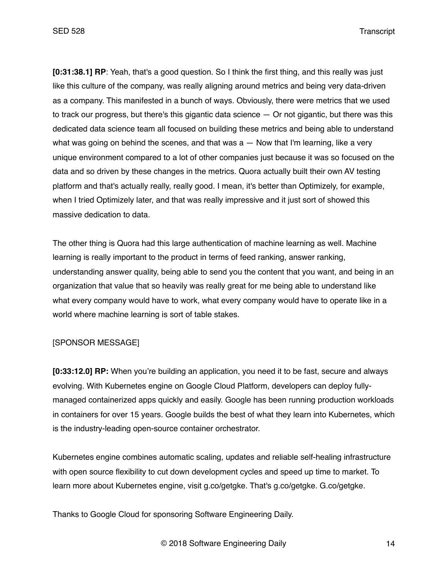**[0:31:38.1] RP**: Yeah, that's a good question. So I think the first thing, and this really was just like this culture of the company, was really aligning around metrics and being very data-driven as a company. This manifested in a bunch of ways. Obviously, there were metrics that we used to track our progress, but there's this gigantic data science — Or not gigantic, but there was this dedicated data science team all focused on building these metrics and being able to understand what was going on behind the scenes, and that was  $a - N$ ow that I'm learning, like a very unique environment compared to a lot of other companies just because it was so focused on the data and so driven by these changes in the metrics. Quora actually built their own AV testing platform and that's actually really, really good. I mean, it's better than Optimizely, for example, when I tried Optimizely later, and that was really impressive and it just sort of showed this massive dedication to data.

The other thing is Quora had this large authentication of machine learning as well. Machine learning is really important to the product in terms of feed ranking, answer ranking, understanding answer quality, being able to send you the content that you want, and being in an organization that value that so heavily was really great for me being able to understand like what every company would have to work, what every company would have to operate like in a world where machine learning is sort of table stakes.

#### [SPONSOR MESSAGE]

**[0:33:12.0] RP:** When you're building an application, you need it to be fast, secure and always evolving. With Kubernetes engine on Google Cloud Platform, developers can deploy fullymanaged containerized apps quickly and easily. Google has been running production workloads in containers for over 15 years. Google builds the best of what they learn into Kubernetes, which is the industry-leading open-source container orchestrator.

Kubernetes engine combines automatic scaling, updates and reliable self-healing infrastructure with open source flexibility to cut down development cycles and speed up time to market. To learn more about Kubernetes engine, visit g.co/getgke. That's g.co/getgke. G.co/getgke.

Thanks to Google Cloud for sponsoring Software Engineering Daily.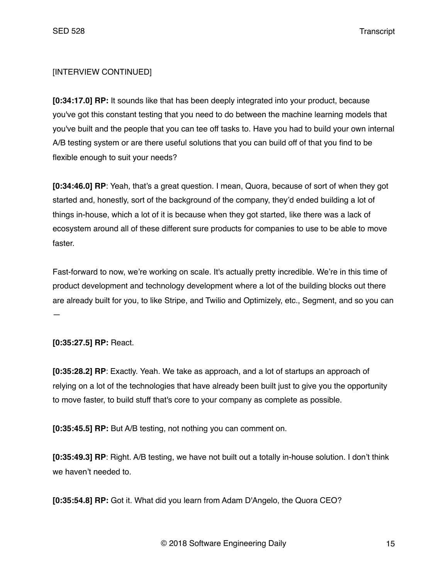# [INTERVIEW CONTINUED]

**[0:34:17.0] RP:** It sounds like that has been deeply integrated into your product, because you've got this constant testing that you need to do between the machine learning models that you've built and the people that you can tee off tasks to. Have you had to build your own internal A/B testing system or are there useful solutions that you can build off of that you find to be flexible enough to suit your needs?

**[0:34:46.0] RP**: Yeah, that's a great question. I mean, Quora, because of sort of when they got started and, honestly, sort of the background of the company, they'd ended building a lot of things in-house, which a lot of it is because when they got started, like there was a lack of ecosystem around all of these different sure products for companies to use to be able to move faster.

Fast-forward to now, we're working on scale. It's actually pretty incredible. We're in this time of product development and technology development where a lot of the building blocks out there are already built for you, to like Stripe, and Twilio and Optimizely, etc., Segment, and so you can —

**[0:35:27.5] RP:** React.

**[0:35:28.2] RP**: Exactly. Yeah. We take as approach, and a lot of startups an approach of relying on a lot of the technologies that have already been built just to give you the opportunity to move faster, to build stuff that's core to your company as complete as possible.

**[0:35:45.5] RP:** But A/B testing, not nothing you can comment on.

**[0:35:49.3] RP**: Right. A/B testing, we have not built out a totally in-house solution. I don't think we haven't needed to.

**[0:35:54.8] RP:** Got it. What did you learn from Adam D'Angelo, the Quora CEO?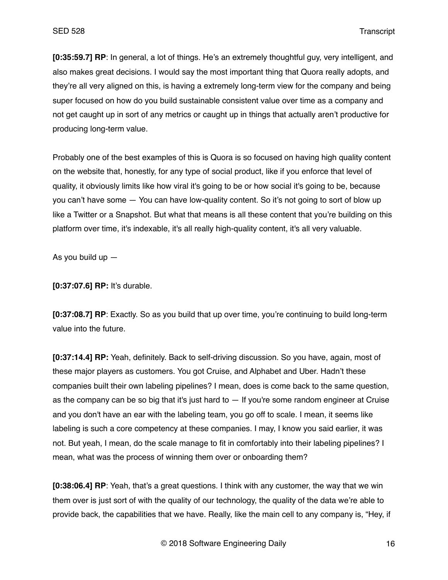**[0:35:59.7] RP**: In general, a lot of things. He's an extremely thoughtful guy, very intelligent, and also makes great decisions. I would say the most important thing that Quora really adopts, and they're all very aligned on this, is having a extremely long-term view for the company and being super focused on how do you build sustainable consistent value over time as a company and not get caught up in sort of any metrics or caught up in things that actually aren't productive for producing long-term value.

Probably one of the best examples of this is Quora is so focused on having high quality content on the website that, honestly, for any type of social product, like if you enforce that level of quality, it obviously limits like how viral it's going to be or how social it's going to be, because you can't have some — You can have low-quality content. So it's not going to sort of blow up like a Twitter or a Snapshot. But what that means is all these content that you're building on this platform over time, it's indexable, it's all really high-quality content, it's all very valuable.

As you build up —

**[0:37:07.6] RP:** It's durable.

**[0:37:08.7] RP**: Exactly. So as you build that up over time, you're continuing to build long-term value into the future.

**[0:37:14.4] RP:** Yeah, definitely. Back to self-driving discussion. So you have, again, most of these major players as customers. You got Cruise, and Alphabet and Uber. Hadn't these companies built their own labeling pipelines? I mean, does is come back to the same question, as the company can be so big that it's just hard to — If you're some random engineer at Cruise and you don't have an ear with the labeling team, you go off to scale. I mean, it seems like labeling is such a core competency at these companies. I may, I know you said earlier, it was not. But yeah, I mean, do the scale manage to fit in comfortably into their labeling pipelines? I mean, what was the process of winning them over or onboarding them?

**[0:38:06.4] RP**: Yeah, that's a great questions. I think with any customer, the way that we win them over is just sort of with the quality of our technology, the quality of the data we're able to provide back, the capabilities that we have. Really, like the main cell to any company is, "Hey, if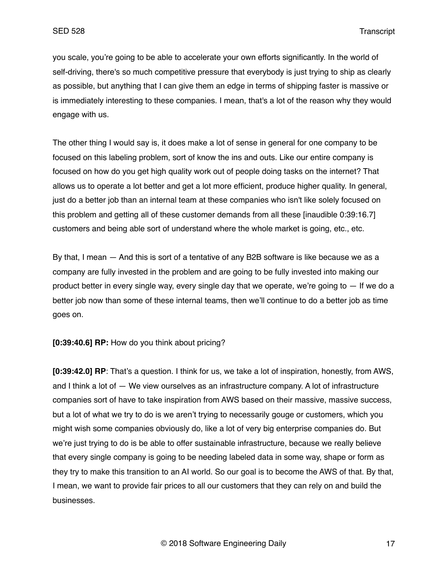you scale, you're going to be able to accelerate your own efforts significantly. In the world of self-driving, there's so much competitive pressure that everybody is just trying to ship as clearly as possible, but anything that I can give them an edge in terms of shipping faster is massive or is immediately interesting to these companies. I mean, that's a lot of the reason why they would engage with us.

The other thing I would say is, it does make a lot of sense in general for one company to be focused on this labeling problem, sort of know the ins and outs. Like our entire company is focused on how do you get high quality work out of people doing tasks on the internet? That allows us to operate a lot better and get a lot more efficient, produce higher quality. In general, just do a better job than an internal team at these companies who isn't like solely focused on this problem and getting all of these customer demands from all these [inaudible 0:39:16.7] customers and being able sort of understand where the whole market is going, etc., etc.

By that, I mean — And this is sort of a tentative of any B2B software is like because we as a company are fully invested in the problem and are going to be fully invested into making our product better in every single way, every single day that we operate, we're going to  $-$  If we do a better job now than some of these internal teams, then we'll continue to do a better job as time goes on.

**[0:39:40.6] RP:** How do you think about pricing?

**[0:39:42.0] RP**: That's a question. I think for us, we take a lot of inspiration, honestly, from AWS, and I think a lot of — We view ourselves as an infrastructure company. A lot of infrastructure companies sort of have to take inspiration from AWS based on their massive, massive success, but a lot of what we try to do is we aren't trying to necessarily gouge or customers, which you might wish some companies obviously do, like a lot of very big enterprise companies do. But we're just trying to do is be able to offer sustainable infrastructure, because we really believe that every single company is going to be needing labeled data in some way, shape or form as they try to make this transition to an AI world. So our goal is to become the AWS of that. By that, I mean, we want to provide fair prices to all our customers that they can rely on and build the businesses.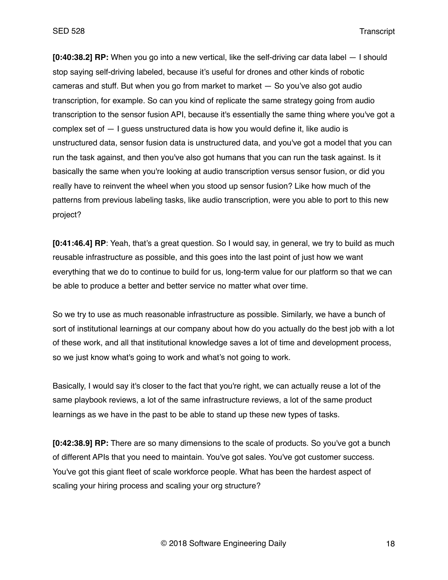**[0:40:38.2] RP:** When you go into a new vertical, like the self-driving car data label — I should stop saying self-driving labeled, because it's useful for drones and other kinds of robotic cameras and stuff. But when you go from market to market — So you've also got audio transcription, for example. So can you kind of replicate the same strategy going from audio transcription to the sensor fusion API, because it's essentially the same thing where you've got a complex set of  $-1$  quess unstructured data is how you would define it, like audio is unstructured data, sensor fusion data is unstructured data, and you've got a model that you can run the task against, and then you've also got humans that you can run the task against. Is it basically the same when you're looking at audio transcription versus sensor fusion, or did you really have to reinvent the wheel when you stood up sensor fusion? Like how much of the patterns from previous labeling tasks, like audio transcription, were you able to port to this new project?

**[0:41:46.4] RP**: Yeah, that's a great question. So I would say, in general, we try to build as much reusable infrastructure as possible, and this goes into the last point of just how we want everything that we do to continue to build for us, long-term value for our platform so that we can be able to produce a better and better service no matter what over time.

So we try to use as much reasonable infrastructure as possible. Similarly, we have a bunch of sort of institutional learnings at our company about how do you actually do the best job with a lot of these work, and all that institutional knowledge saves a lot of time and development process, so we just know what's going to work and what's not going to work.

Basically, I would say it's closer to the fact that you're right, we can actually reuse a lot of the same playbook reviews, a lot of the same infrastructure reviews, a lot of the same product learnings as we have in the past to be able to stand up these new types of tasks.

**[0:42:38.9] RP:** There are so many dimensions to the scale of products. So you've got a bunch of different APIs that you need to maintain. You've got sales. You've got customer success. You've got this giant fleet of scale workforce people. What has been the hardest aspect of scaling your hiring process and scaling your org structure?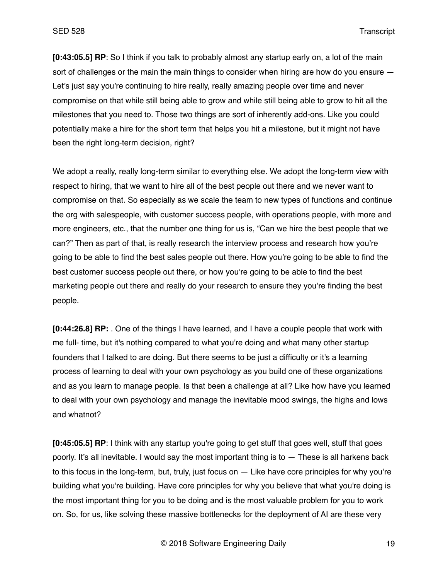**[0:43:05.5] RP**: So I think if you talk to probably almost any startup early on, a lot of the main sort of challenges or the main the main things to consider when hiring are how do you ensure  $-$ Let's just say you're continuing to hire really, really amazing people over time and never compromise on that while still being able to grow and while still being able to grow to hit all the milestones that you need to. Those two things are sort of inherently add-ons. Like you could potentially make a hire for the short term that helps you hit a milestone, but it might not have been the right long-term decision, right?

We adopt a really, really long-term similar to everything else. We adopt the long-term view with respect to hiring, that we want to hire all of the best people out there and we never want to compromise on that. So especially as we scale the team to new types of functions and continue the org with salespeople, with customer success people, with operations people, with more and more engineers, etc., that the number one thing for us is, "Can we hire the best people that we can?" Then as part of that, is really research the interview process and research how you're going to be able to find the best sales people out there. How you're going to be able to find the best customer success people out there, or how you're going to be able to find the best marketing people out there and really do your research to ensure they you're finding the best people.

**[0:44:26.8] RP:** . One of the things I have learned, and I have a couple people that work with me full- time, but it's nothing compared to what you're doing and what many other startup founders that I talked to are doing. But there seems to be just a difficulty or it's a learning process of learning to deal with your own psychology as you build one of these organizations and as you learn to manage people. Is that been a challenge at all? Like how have you learned to deal with your own psychology and manage the inevitable mood swings, the highs and lows and whatnot?

**[0:45:05.5] RP**: I think with any startup you're going to get stuff that goes well, stuff that goes poorly. It's all inevitable. I would say the most important thing is to  $-$  These is all harkens back to this focus in the long-term, but, truly, just focus on — Like have core principles for why you're building what you're building. Have core principles for why you believe that what you're doing is the most important thing for you to be doing and is the most valuable problem for you to work on. So, for us, like solving these massive bottlenecks for the deployment of AI are these very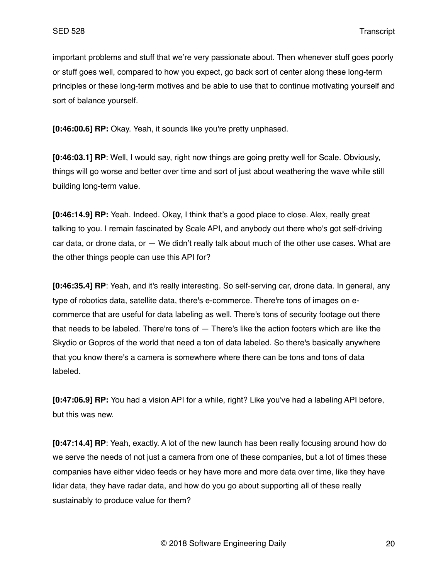important problems and stuff that we're very passionate about. Then whenever stuff goes poorly or stuff goes well, compared to how you expect, go back sort of center along these long-term principles or these long-term motives and be able to use that to continue motivating yourself and sort of balance yourself.

**[0:46:00.6] RP:** Okay. Yeah, it sounds like you're pretty unphased.

**[0:46:03.1] RP**: Well, I would say, right now things are going pretty well for Scale. Obviously, things will go worse and better over time and sort of just about weathering the wave while still building long-term value.

**[0:46:14.9] RP:** Yeah. Indeed. Okay, I think that's a good place to close. Alex, really great talking to you. I remain fascinated by Scale API, and anybody out there who's got self-driving car data, or drone data, or — We didn't really talk about much of the other use cases. What are the other things people can use this API for?

**[0:46:35.4] RP**: Yeah, and it's really interesting. So self-serving car, drone data. In general, any type of robotics data, satellite data, there's e-commerce. There're tons of images on ecommerce that are useful for data labeling as well. There's tons of security footage out there that needs to be labeled. There're tons of — There's like the action footers which are like the Skydio or Gopros of the world that need a ton of data labeled. So there's basically anywhere that you know there's a camera is somewhere where there can be tons and tons of data labeled.

**[0:47:06.9] RP:** You had a vision API for a while, right? Like you've had a labeling API before, but this was new.

**[0:47:14.4] RP**: Yeah, exactly. A lot of the new launch has been really focusing around how do we serve the needs of not just a camera from one of these companies, but a lot of times these companies have either video feeds or hey have more and more data over time, like they have lidar data, they have radar data, and how do you go about supporting all of these really sustainably to produce value for them?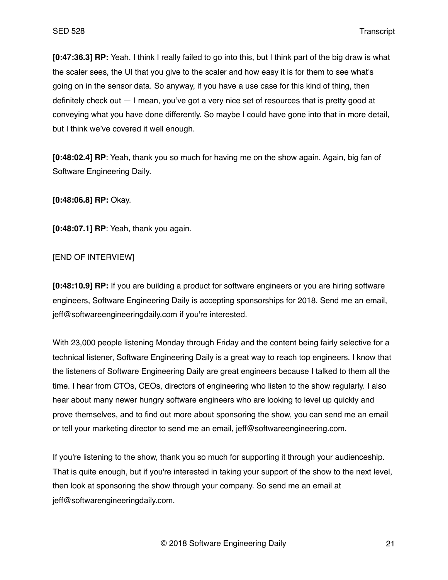**[0:47:36.3] RP:** Yeah. I think I really failed to go into this, but I think part of the big draw is what the scaler sees, the UI that you give to the scaler and how easy it is for them to see what's going on in the sensor data. So anyway, if you have a use case for this kind of thing, then definitely check out — I mean, you've got a very nice set of resources that is pretty good at conveying what you have done differently. So maybe I could have gone into that in more detail, but I think we've covered it well enough.

**[0:48:02.4] RP**: Yeah, thank you so much for having me on the show again. Again, big fan of Software Engineering Daily.

**[0:48:06.8] RP:** Okay.

**[0:48:07.1] RP**: Yeah, thank you again.

### [END OF INTERVIEW]

**[0:48:10.9] RP:** If you are building a product for software engineers or you are hiring software engineers, Software Engineering Daily is accepting sponsorships for 2018. Send me an email, jeff@softwareengineeringdaily.com if you're interested.

With 23,000 people listening Monday through Friday and the content being fairly selective for a technical listener, Software Engineering Daily is a great way to reach top engineers. I know that the listeners of Software Engineering Daily are great engineers because I talked to them all the time. I hear from CTOs, CEOs, directors of engineering who listen to the show regularly. I also hear about many newer hungry software engineers who are looking to level up quickly and prove themselves, and to find out more about sponsoring the show, you can send me an email or tell your marketing director to send me an email, jeff@softwareengineering.com.

If you're listening to the show, thank you so much for supporting it through your audienceship. That is quite enough, but if you're interested in taking your support of the show to the next level, then look at sponsoring the show through your company. So send me an email at jeff@softwarengineeringdaily.com.